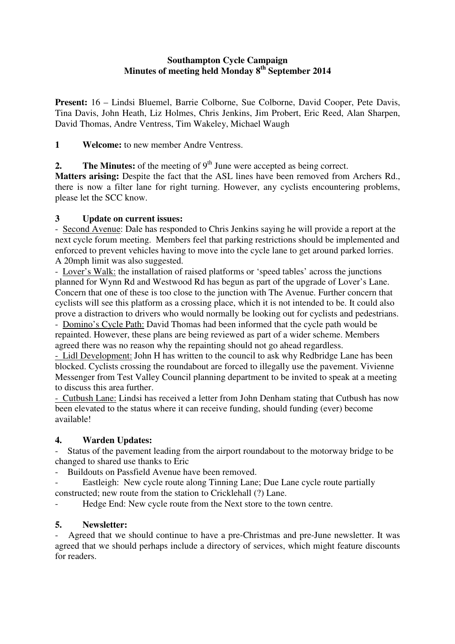#### **Southampton Cycle Campaign Minutes of meeting held Monday 8th September 2014**

**Present:** 16 – Lindsi Bluemel, Barrie Colborne, Sue Colborne, David Cooper, Pete Davis, Tina Davis, John Heath, Liz Holmes, Chris Jenkins, Jim Probert, Eric Reed, Alan Sharpen, David Thomas, Andre Ventress, Tim Wakeley, Michael Waugh

**1 Welcome:** to new member Andre Ventress.

**2.** The Minutes: of the meeting of  $9<sup>th</sup>$  June were accepted as being correct.

 **Matters arising:** Despite the fact that the ASL lines have been removed from Archers Rd., there is now a filter lane for right turning. However, any cyclists encountering problems, please let the SCC know.

## **3 Update on current issues:**

 - Second Avenue: Dale has responded to Chris Jenkins saying he will provide a report at the next cycle forum meeting. Members feel that parking restrictions should be implemented and enforced to prevent vehicles having to move into the cycle lane to get around parked lorries. A 20mph limit was also suggested.

 - Lover's Walk: the installation of raised platforms or 'speed tables' across the junctions planned for Wynn Rd and Westwood Rd has begun as part of the upgrade of Lover's Lane. Concern that one of these is too close to the junction with The Avenue. Further concern that cyclists will see this platform as a crossing place, which it is not intended to be. It could also prove a distraction to drivers who would normally be looking out for cyclists and pedestrians.

 - Domino's Cycle Path: David Thomas had been informed that the cycle path would be repainted. However, these plans are being reviewed as part of a wider scheme. Members agreed there was no reason why the repainting should not go ahead regardless.

- Lidl Development: John H has written to the council to ask why Redbridge Lane has been blocked. Cyclists crossing the roundabout are forced to illegally use the pavement. Vivienne Messenger from Test Valley Council planning department to be invited to speak at a meeting to discuss this area further.

- Cutbush Lane: Lindsi has received a letter from John Denham stating that Cutbush has now been elevated to the status where it can receive funding, should funding (ever) become available!

## **4. Warden Updates:**

- Status of the pavement leading from the airport roundabout to the motorway bridge to be changed to shared use thanks to Eric

- Buildouts on Passfield Avenue have been removed.

Eastleigh: New cycle route along Tinning Lane; Due Lane cycle route partially constructed; new route from the station to Cricklehall (?) Lane.

- Hedge End: New cycle route from the Next store to the town centre.

## **5. Newsletter:**

Agreed that we should continue to have a pre-Christmas and pre-June newsletter. It was agreed that we should perhaps include a directory of services, which might feature discounts for readers.